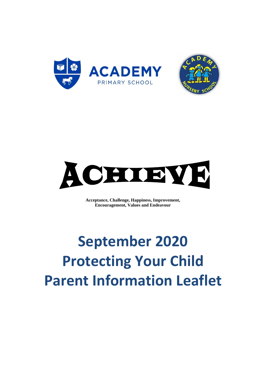



**Acceptance, Challenge, Happiness, Improvement, Encouragement, Values and Endeavour**

# **September 2020 Protecting Your Child Parent Information Leaflet**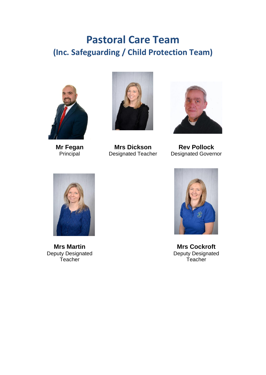## **Pastoral Care Team (Inc. Safeguarding / Child Protection Team)**



**Mr Fegan** Principal



**Mrs Dickson** Designated Teacher



**Rev Pollock** Designated Governor



**Mrs Martin** Deputy Designated **Teacher** 



**Mrs Cockroft** Deputy Designated **Teacher**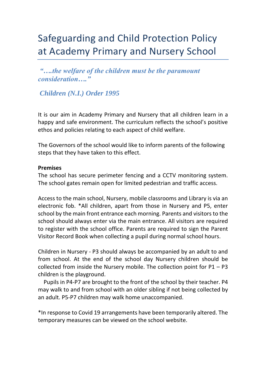# Safeguarding and Child Protection Policy at Academy Primary and Nursery School

*"….the welfare of the children must be the paramount consideration…."* 

*Children (N.I.) Order 1995*

It is our aim in Academy Primary and Nursery that all children learn in a happy and safe environment. The curriculum reflects the school's positive ethos and policies relating to each aspect of child welfare.

The Governors of the school would like to inform parents of the following steps that they have taken to this effect.

#### **Premises**

The school has secure perimeter fencing and a CCTV monitoring system. The school gates remain open for limited pedestrian and traffic access.

Access to the main school, Nursery, mobile classrooms and Library is via an electronic fob. \*All children, apart from those in Nursery and P5, enter school by the main front entrance each morning. Parents and visitors to the school should always enter via the main entrance. All visitors are required to register with the school office. Parents are required to sign the Parent Visitor Record Book when collecting a pupil during normal school hours.

Children in Nursery - P3 should always be accompanied by an adult to and from school. At the end of the school day Nursery children should be collected from inside the Nursery mobile. The collection point for  $P1 - P3$ children is the playground.

 Pupils in P4-P7 are brought to the front of the school by their teacher. P4 may walk to and from school with an older sibling if not being collected by an adult. P5-P7 children may walk home unaccompanied.

\*In response to Covid 19 arrangements have been temporarily altered. The temporary measures can be viewed on the school website.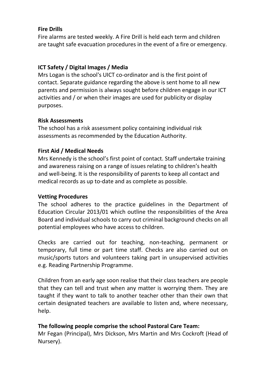#### **Fire Drills**

Fire alarms are tested weekly. A Fire Drill is held each term and children are taught safe evacuation procedures in the event of a fire or emergency.

## **ICT Safety / Digital Images / Media**

Mrs Logan is the school's UICT co-ordinator and is the first point of contact. Separate guidance regarding the above is sent home to all new parents and permission is always sought before children engage in our ICT activities and / or when their images are used for publicity or display purposes.

#### **Risk Assessments**

The school has a risk assessment policy containing individual risk assessments as recommended by the Education Authority.

## **First Aid / Medical Needs**

Mrs Kennedy is the school's first point of contact. Staff undertake training and awareness raising on a range of issues relating to children's health and well-being. It is the responsibility of parents to keep all contact and medical records as up to-date and as complete as possible.

#### **Vetting Procedures**

The school adheres to the practice guidelines in the Department of Education Circular 2013/01 which outline the responsibilities of the Area Board and individual schools to carry out criminal background checks on all potential employees who have access to children.

Checks are carried out for teaching, non-teaching, permanent or temporary, full time or part time staff. Checks are also carried out on music/sports tutors and volunteers taking part in unsupervised activities e.g. Reading Partnership Programme.

Children from an early age soon realise that their class teachers are people that they can tell and trust when any matter is worrying them. They are taught if they want to talk to another teacher other than their own that certain designated teachers are available to listen and, where necessary, help.

#### **The following people comprise the school Pastoral Care Team:**

Mr Fegan (Principal), Mrs Dickson, Mrs Martin and Mrs Cockroft (Head of Nursery).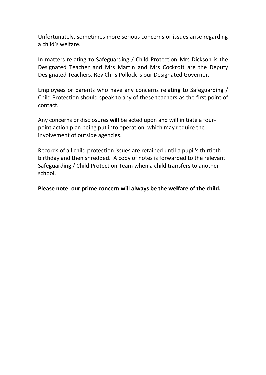Unfortunately, sometimes more serious concerns or issues arise regarding a child's welfare.

In matters relating to Safeguarding / Child Protection Mrs Dickson is the Designated Teacher and Mrs Martin and Mrs Cockroft are the Deputy Designated Teachers. Rev Chris Pollock is our Designated Governor.

Employees or parents who have any concerns relating to Safeguarding / Child Protection should speak to any of these teachers as the first point of contact.

Any concerns or disclosures **will** be acted upon and will initiate a fourpoint action plan being put into operation, which may require the involvement of outside agencies.

Records of all child protection issues are retained until a pupil's thirtieth birthday and then shredded. A copy of notes is forwarded to the relevant Safeguarding / Child Protection Team when a child transfers to another school.

**Please note: our prime concern will always be the welfare of the child.**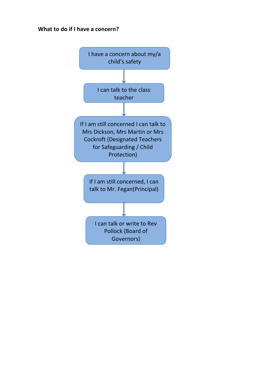#### **What to do if I have a concern?**